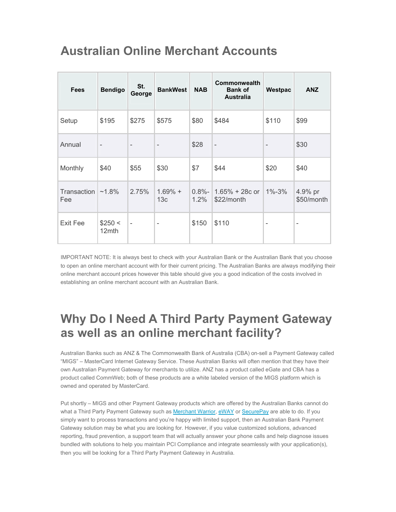## **Australian Online Merchant Accounts**

| <b>Fees</b>                    | <b>Bendigo</b>   | St.<br>George            | <b>BankWest</b>              | <b>NAB</b>        | <b>Commonwealth</b><br><b>Bank of</b><br><b>Australia</b> | Westpac                  | <b>ANZ</b>            |
|--------------------------------|------------------|--------------------------|------------------------------|-------------------|-----------------------------------------------------------|--------------------------|-----------------------|
| Setup                          | \$195            | \$275                    | \$575                        | \$80              | \$484                                                     | \$110                    | \$99                  |
| Annual                         | $\overline{a}$   | $\overline{\phantom{m}}$ | $\overline{\phantom{a}}$     | \$28              | $\overline{\phantom{0}}$                                  | $\overline{\phantom{a}}$ | \$30                  |
| Monthly                        | \$40             | \$55                     | \$30                         | \$7               | \$44                                                      | \$20                     | \$40                  |
| Transaction $\sim$ 1.8%<br>Fee |                  | 2.75%                    | $1.69% +$<br>13 <sub>c</sub> | $0.8\% -$<br>1.2% | $1.65% + 28c$ or<br>\$22/month                            | $1\% - 3\%$              | 4.9% pr<br>\$50/month |
| Exit Fee                       | \$250 <<br>12mth | $\overline{\phantom{m}}$ | $\overline{\phantom{0}}$     | \$150             | \$110                                                     | $\overline{\phantom{0}}$ | $\overline{a}$        |

IMPORTANT NOTE: It is always best to check with your Australian Bank or the Australian Bank that you choose to open an online merchant account with for their current pricing. The Australian Banks are always modifying their online merchant account prices however this table should give you a good indication of the costs involved in establishing an online merchant account with an Australian Bank.

## **Why Do I Need A Third Party Payment Gateway as well as an online merchant facility?**

Australian Banks such as ANZ & The Commonwealth Bank of Australia (CBA) on-sell a Payment Gateway called "MIGS" – MasterCard Internet Gateway Service. These Australian Banks will often mention that they have their own Australian Payment Gateway for merchants to utilize. ANZ has a product called eGate and CBA has a product called CommWeb; both of these products are a white labeled version of the MIGS platform which is owned and operated by MasterCard.

Put shortly – MIGS and other Payment Gateway products which are offered by the Australian Banks cannot do what a Third Party Payment Gateway such as Merchant Warrior, eWAY or SecurePay are able to do. If you simply want to process transactions and you're happy with limited support, then an Australian Bank Payment Gateway solution may be what you are looking for. However, if you value customized solutions, advanced reporting, fraud prevention, a support team that will actually answer your phone calls and help diagnose issues bundled with solutions to help you maintain PCI Compliance and integrate seamlessly with your application(s), then you will be looking for a Third Party Payment Gateway in Australia.